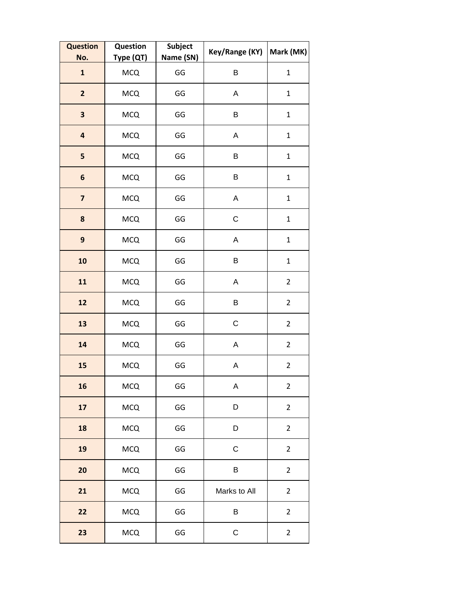| <b>Question</b><br>No.  | Question<br>Type (QT) | Subject<br>Name (SN) | Key/Range (KY) | Mark (MK)      |
|-------------------------|-----------------------|----------------------|----------------|----------------|
| $\mathbf{1}$            | <b>MCQ</b>            | GG                   | B              | $\mathbf{1}$   |
| $\overline{2}$          | <b>MCQ</b>            | GG                   | A              | $\mathbf{1}$   |
| 3                       | <b>MCQ</b>            | GG                   | $\sf B$        | $\mathbf{1}$   |
| $\overline{\mathbf{a}}$ | <b>MCQ</b>            | GG                   | A              | $\mathbf 1$    |
| 5                       | <b>MCQ</b>            | GG                   | B              | $\mathbf{1}$   |
| 6                       | <b>MCQ</b>            | GG                   | B              | $\mathbf{1}$   |
| $\overline{\mathbf{z}}$ | <b>MCQ</b>            | GG                   | A              | $\mathbf 1$    |
| 8                       | <b>MCQ</b>            | GG                   | $\mathsf C$    | $\mathbf{1}$   |
| 9                       | <b>MCQ</b>            | GG                   | A              | $\mathbf{1}$   |
| 10                      | <b>MCQ</b>            | GG                   | B              | $\mathbf{1}$   |
| 11                      | <b>MCQ</b>            | GG                   | A              | $\overline{2}$ |
| 12                      | <b>MCQ</b>            | GG                   | B              | $\overline{2}$ |
| 13                      | <b>MCQ</b>            | GG                   | $\mathsf C$    | $\overline{2}$ |
| 14                      | <b>MCQ</b>            | GG                   | A              | $\overline{2}$ |
| 15                      | <b>MCQ</b>            | GG                   | A              | $\overline{2}$ |
| 16                      | <b>MCQ</b>            | GG                   | A              | $\overline{2}$ |
| 17                      | <b>MCQ</b>            | GG                   | D              | $\overline{2}$ |
| 18                      | <b>MCQ</b>            | GG                   | D              | $\overline{2}$ |
| 19                      | <b>MCQ</b>            | GG                   | $\mathsf C$    | $\overline{2}$ |
| 20                      | <b>MCQ</b>            | GG                   | B              | $\overline{2}$ |
| 21                      | <b>MCQ</b>            | GG                   | Marks to All   | $\overline{2}$ |
| 22                      | <b>MCQ</b>            | GG                   | B              | $\overline{2}$ |
| 23                      | <b>MCQ</b>            | GG                   | $\mathsf C$    | $\overline{2}$ |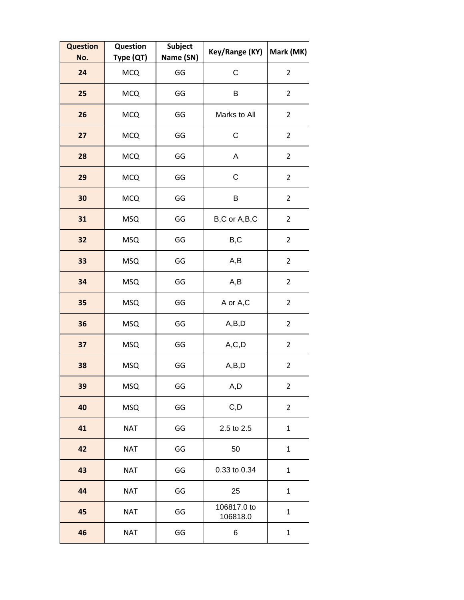| <b>Question</b><br>No. | Question<br>Type (QT) | <b>Subject</b><br>Name (SN) | Key/Range (KY)          | Mark (MK)      |
|------------------------|-----------------------|-----------------------------|-------------------------|----------------|
| 24                     | <b>MCQ</b>            | GG                          | C                       | $\overline{2}$ |
| 25                     | <b>MCQ</b>            | GG                          | B                       | $\overline{2}$ |
| 26                     | <b>MCQ</b>            | GG                          | Marks to All            | $\overline{2}$ |
| 27                     | <b>MCQ</b>            | GG                          | $\mathsf{C}$            | $\overline{2}$ |
| 28                     | <b>MCQ</b>            | GG                          | Α                       | $\overline{2}$ |
| 29                     | <b>MCQ</b>            | GG                          | C                       | $\overline{2}$ |
| 30                     | <b>MCQ</b>            | GG                          | B                       | $\overline{2}$ |
| 31                     | <b>MSQ</b>            | GG                          | B,C or A,B,C            | $\overline{2}$ |
| 32                     | <b>MSQ</b>            | GG                          | B,C                     | $\overline{a}$ |
| 33                     | <b>MSQ</b>            | GG                          | A,B                     | $\overline{2}$ |
| 34                     | <b>MSQ</b>            | GG                          | A,B                     | $\overline{2}$ |
| 35                     | <b>MSQ</b>            | GG                          | A or A,C                | $\overline{2}$ |
| 36                     | <b>MSQ</b>            | GG                          | A,B,D                   | $\overline{2}$ |
| 37                     | <b>MSQ</b>            | GG                          | A, C, D                 | $\overline{2}$ |
| 38                     | <b>MSQ</b>            | GG                          | A,B,D                   | $\overline{2}$ |
| 39                     | <b>MSQ</b>            | GG                          | A,D                     | $\overline{2}$ |
| 40                     | <b>MSQ</b>            | GG                          | C, D                    | $\overline{2}$ |
| 41                     | <b>NAT</b>            | GG                          | 2.5 to 2.5              | $\mathbf{1}$   |
| 42                     | <b>NAT</b>            | GG                          | 50                      | $\mathbf{1}$   |
| 43                     | <b>NAT</b>            | GG                          | 0.33 to 0.34            | $\mathbf{1}$   |
| 44                     | <b>NAT</b>            | GG                          | 25                      | $\mathbf{1}$   |
| 45                     | <b>NAT</b>            | GG                          | 106817.0 to<br>106818.0 | $\mathbf{1}$   |
| 46                     | <b>NAT</b>            | GG                          | 6                       | $\mathbf{1}$   |